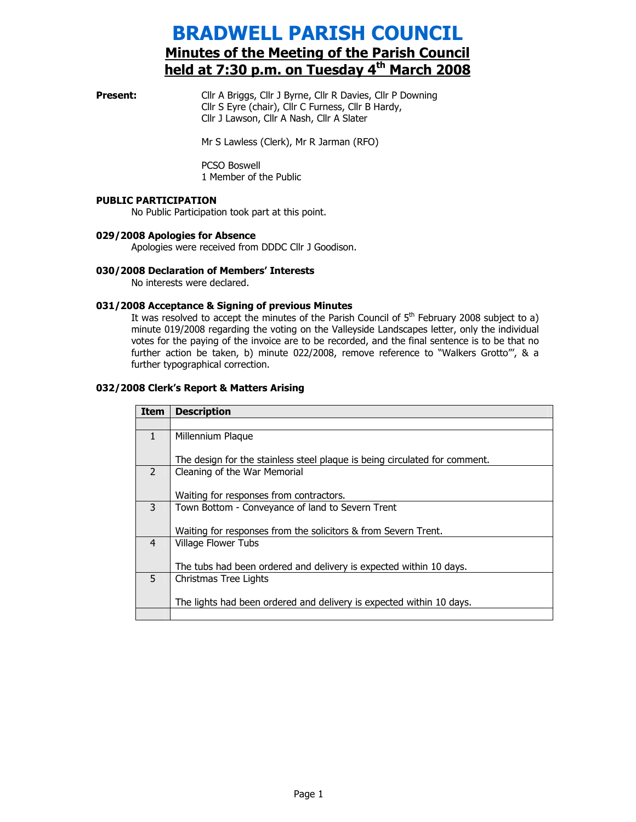# BRADWELL PARISH COUNCIL Minutes of the Meeting of the Parish Council held at  $7:30$  p.m. on Tuesday  $4<sup>th</sup>$  March 2008

**Present:** Cllr A Briggs, Cllr J Byrne, Cllr R Davies, Cllr P Downing Cllr S Eyre (chair), Cllr C Furness, Cllr B Hardy, Cllr J Lawson, Cllr A Nash, Cllr A Slater

Mr S Lawless (Clerk), Mr R Jarman (RFO)

PCSO Boswell 1 Member of the Public

## PUBLIC PARTICIPATION

No Public Participation took part at this point.

## 029/2008 Apologies for Absence

Apologies were received from DDDC Cllr J Goodison.

## 030/2008 Declaration of Members' Interests

No interests were declared.

## 031/2008 Acceptance & Signing of previous Minutes

It was resolved to accept the minutes of the Parish Council of  $5<sup>th</sup>$  February 2008 subject to a) minute 019/2008 regarding the voting on the Valleyside Landscapes letter, only the individual votes for the paying of the invoice are to be recorded, and the final sentence is to be that no further action be taken, b) minute 022/2008, remove reference to "Walkers Grotto"', & a further typographical correction.

## 032/2008 Clerk's Report & Matters Arising

| <b>Item</b>    | <b>Description</b>                                                         |
|----------------|----------------------------------------------------------------------------|
|                |                                                                            |
| $\mathbf{1}$   | Millennium Plaque                                                          |
|                |                                                                            |
|                | The design for the stainless steel plaque is being circulated for comment. |
| $\mathcal{P}$  | Cleaning of the War Memorial                                               |
|                |                                                                            |
|                | Waiting for responses from contractors.                                    |
| 3              | Town Bottom - Conveyance of land to Severn Trent                           |
|                |                                                                            |
|                | Waiting for responses from the solicitors & from Severn Trent.             |
| $\overline{4}$ | Village Flower Tubs                                                        |
|                |                                                                            |
|                | The tubs had been ordered and delivery is expected within 10 days.         |
| 5              | Christmas Tree Lights                                                      |
|                |                                                                            |
|                | The lights had been ordered and delivery is expected within 10 days.       |
|                |                                                                            |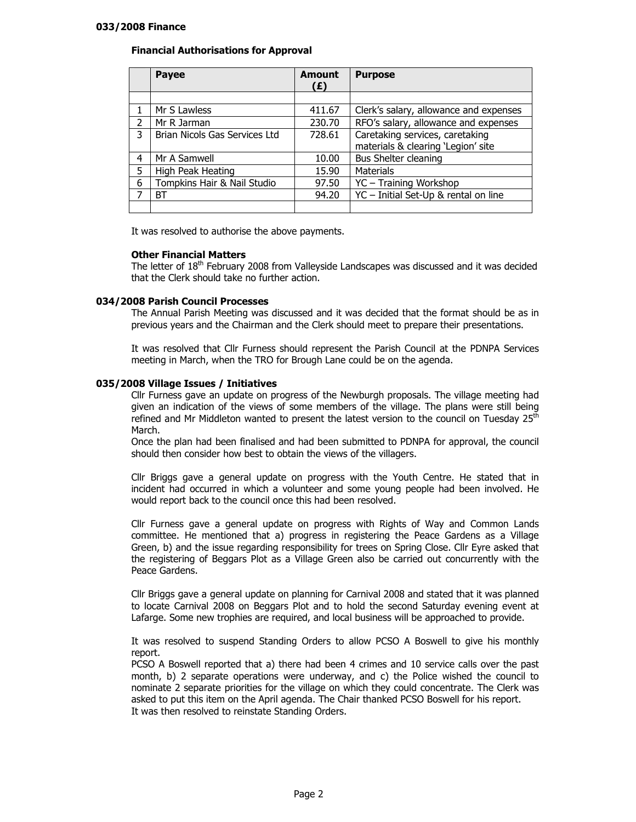## 033/2008 Finance

## Financial Authorisations for Approval

|    | <b>Payee</b>                  | <b>Amount</b><br>(E) | <b>Purpose</b>                         |
|----|-------------------------------|----------------------|----------------------------------------|
|    |                               |                      |                                        |
|    | Mr S Lawless                  | 411.67               | Clerk's salary, allowance and expenses |
| C. | Mr R Jarman                   | 230.70               | RFO's salary, allowance and expenses   |
| 3  | Brian Nicols Gas Services Ltd | 728.61               | Caretaking services, caretaking        |
|    |                               |                      | materials & clearing 'Legion' site     |
| 4  | Mr A Samwell                  | 10.00                | <b>Bus Shelter cleaning</b>            |
| 5  | High Peak Heating             | 15.90                | Materials                              |
| 6  | Tompkins Hair & Nail Studio   | 97.50                | YC - Training Workshop                 |
|    | ВT                            | 94.20                | YC - Initial Set-Up & rental on line   |
|    |                               |                      |                                        |

It was resolved to authorise the above payments.

## Other Financial Matters

The letter of  $18<sup>th</sup>$  February 2008 from Valleyside Landscapes was discussed and it was decided that the Clerk should take no further action.

## 034/2008 Parish Council Processes

The Annual Parish Meeting was discussed and it was decided that the format should be as in previous years and the Chairman and the Clerk should meet to prepare their presentations.

It was resolved that Cllr Furness should represent the Parish Council at the PDNPA Services meeting in March, when the TRO for Brough Lane could be on the agenda.

## 035/2008 Village Issues / Initiatives

Cllr Furness gave an update on progress of the Newburgh proposals. The village meeting had given an indication of the views of some members of the village. The plans were still being refined and Mr Middleton wanted to present the latest version to the council on Tuesday  $25<sup>th</sup>$ March.

Once the plan had been finalised and had been submitted to PDNPA for approval, the council should then consider how best to obtain the views of the villagers.

Cllr Briggs gave a general update on progress with the Youth Centre. He stated that in incident had occurred in which a volunteer and some young people had been involved. He would report back to the council once this had been resolved.

Cllr Furness gave a general update on progress with Rights of Way and Common Lands committee. He mentioned that a) progress in registering the Peace Gardens as a Village Green, b) and the issue regarding responsibility for trees on Spring Close. Cllr Eyre asked that the registering of Beggars Plot as a Village Green also be carried out concurrently with the Peace Gardens.

Cllr Briggs gave a general update on planning for Carnival 2008 and stated that it was planned to locate Carnival 2008 on Beggars Plot and to hold the second Saturday evening event at Lafarge. Some new trophies are required, and local business will be approached to provide.

It was resolved to suspend Standing Orders to allow PCSO A Boswell to give his monthly report.

PCSO A Boswell reported that a) there had been 4 crimes and 10 service calls over the past month, b) 2 separate operations were underway, and c) the Police wished the council to nominate 2 separate priorities for the village on which they could concentrate. The Clerk was asked to put this item on the April agenda. The Chair thanked PCSO Boswell for his report. It was then resolved to reinstate Standing Orders.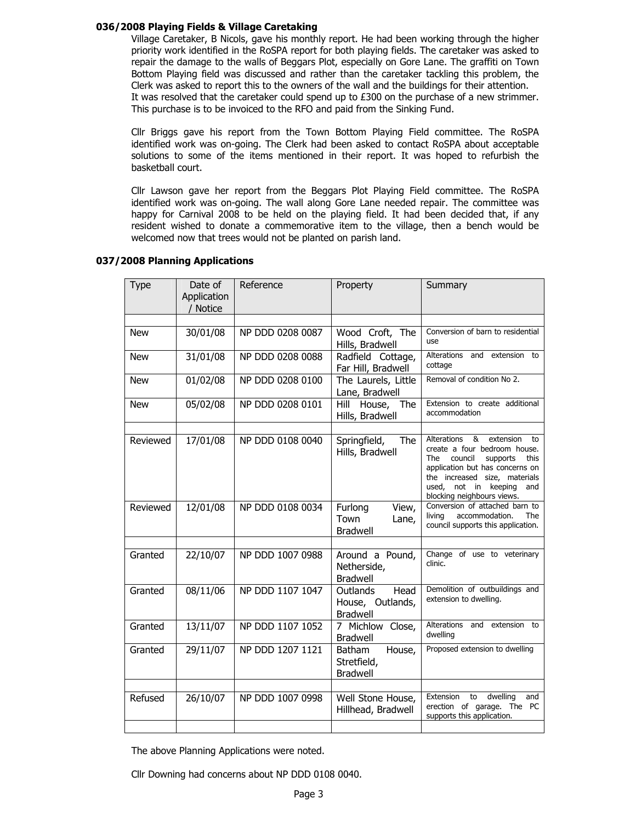## 036/2008 Playing Fields & Village Caretaking

Village Caretaker, B Nicols, gave his monthly report. He had been working through the higher priority work identified in the RoSPA report for both playing fields. The caretaker was asked to repair the damage to the walls of Beggars Plot, especially on Gore Lane. The graffiti on Town Bottom Playing field was discussed and rather than the caretaker tackling this problem, the Clerk was asked to report this to the owners of the wall and the buildings for their attention. It was resolved that the caretaker could spend up to  $E300$  on the purchase of a new strimmer. This purchase is to be invoiced to the RFO and paid from the Sinking Fund.

Cllr Briggs gave his report from the Town Bottom Playing Field committee. The RoSPA identified work was on-going. The Clerk had been asked to contact RoSPA about acceptable solutions to some of the items mentioned in their report. It was hoped to refurbish the basketball court.

Cllr Lawson gave her report from the Beggars Plot Playing Field committee. The RoSPA identified work was on-going. The wall along Gore Lane needed repair. The committee was happy for Carnival 2008 to be held on the playing field. It had been decided that, if any resident wished to donate a commemorative item to the village, then a bench would be welcomed now that trees would not be planted on parish land.

| <b>Type</b> | Date of<br>Application<br>/ Notice | Reference        | Property                                                       | Summary                                                                                                                                                                                                                                       |
|-------------|------------------------------------|------------------|----------------------------------------------------------------|-----------------------------------------------------------------------------------------------------------------------------------------------------------------------------------------------------------------------------------------------|
|             |                                    |                  |                                                                |                                                                                                                                                                                                                                               |
| <b>New</b>  | 30/01/08                           | NP DDD 0208 0087 | Wood Croft, The<br>Hills, Bradwell                             | Conversion of barn to residential<br>use                                                                                                                                                                                                      |
| <b>New</b>  | 31/01/08                           | NP DDD 0208 0088 | Radfield Cottage,<br>Far Hill, Bradwell                        | Alterations<br>and extension to<br>cottage                                                                                                                                                                                                    |
| <b>New</b>  | 01/02/08                           | NP DDD 0208 0100 | The Laurels, Little<br>Lane, Bradwell                          | Removal of condition No 2.                                                                                                                                                                                                                    |
| <b>New</b>  | 05/02/08                           | NP DDD 0208 0101 | Hill<br>House,<br>The<br>Hills, Bradwell                       | Extension to create additional<br>accommodation                                                                                                                                                                                               |
| Reviewed    | 17/01/08                           | NP DDD 0108 0040 | Springfield,<br>The<br>Hills, Bradwell                         | Alterations<br>&<br>extension<br>to<br>create a four bedroom house.<br>The<br>council<br>supports<br>this<br>application but has concerns on<br>the increased size, materials<br>used,<br>not in keeping<br>and<br>blocking neighbours views. |
| Reviewed    | 12/01/08                           | NP DDD 0108 0034 | Furlong<br>View,<br>Town<br>Lane,<br><b>Bradwell</b>           | Conversion of attached barn to<br>livina<br>accommodation.<br>The<br>council supports this application.                                                                                                                                       |
| Granted     | 22/10/07                           | NP DDD 1007 0988 | Around a Pound,<br>Netherside,<br><b>Bradwell</b>              | Change of use to veterinary<br>clinic.                                                                                                                                                                                                        |
| Granted     | 08/11/06                           | NP DDD 1107 1047 | <b>Outlands</b><br>Head<br>House, Outlands,<br><b>Bradwell</b> | Demolition of outbuildings and<br>extension to dwelling.                                                                                                                                                                                      |
| Granted     | 13/11/07                           | NP DDD 1107 1052 | 7 Michlow Close,<br><b>Bradwell</b>                            | Alterations<br>and extension to<br>dwelling                                                                                                                                                                                                   |
| Granted     | 29/11/07                           | NP DDD 1207 1121 | <b>Batham</b><br>House,<br>Stretfield,<br><b>Bradwell</b>      | Proposed extension to dwelling                                                                                                                                                                                                                |
| Refused     | 26/10/07                           | NP DDD 1007 0998 | Well Stone House,<br>Hillhead, Bradwell                        | dwelling<br>Extension<br>to<br>and<br>erection of garage. The PC<br>supports this application.                                                                                                                                                |

#### 037/2008 Planning Applications

The above Planning Applications were noted.

Cllr Downing had concerns about NP DDD 0108 0040.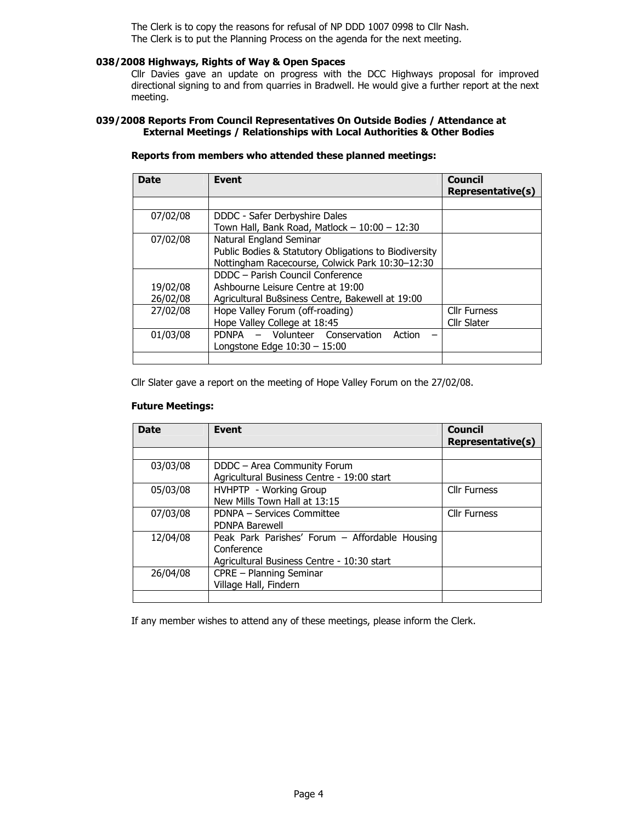The Clerk is to copy the reasons for refusal of NP DDD 1007 0998 to Cllr Nash. The Clerk is to put the Planning Process on the agenda for the next meeting.

## 038/2008 Highways, Rights of Way & Open Spaces

Cllr Davies gave an update on progress with the DCC Highways proposal for improved directional signing to and from quarries in Bradwell. He would give a further report at the next meeting.

## 039/2008 Reports From Council Representatives On Outside Bodies / Attendance at External Meetings / Relationships with Local Authorities & Other Bodies

| Reports from members who attended these planned meetings: |  |
|-----------------------------------------------------------|--|
|-----------------------------------------------------------|--|

| <b>Date</b> | <b>Event</b>                                          |                     |
|-------------|-------------------------------------------------------|---------------------|
|             |                                                       |                     |
| 07/02/08    | DDDC - Safer Derbyshire Dales                         |                     |
|             | Town Hall, Bank Road, Matlock - 10:00 - 12:30         |                     |
| 07/02/08    | Natural England Seminar                               |                     |
|             | Public Bodies & Statutory Obligations to Biodiversity |                     |
|             | Nottingham Racecourse, Colwick Park 10:30-12:30       |                     |
|             | DDDC - Parish Council Conference                      |                     |
| 19/02/08    | Ashbourne Leisure Centre at 19:00                     |                     |
| 26/02/08    | Agricultural Bu8siness Centre, Bakewell at 19:00      |                     |
| 27/02/08    | Hope Valley Forum (off-roading)                       | <b>Cllr Furness</b> |
|             | Hope Valley College at 18:45                          | Cllr Slater         |
| 01/03/08    | PDNPA - Volunteer Conservation<br>Action              |                     |
|             | Longstone Edge $10:30 - 15:00$                        |                     |
|             |                                                       |                     |

Cllr Slater gave a report on the meeting of Hope Valley Forum on the 27/02/08.

## Future Meetings:

| <b>Date</b> | <b>Event</b>                                   | <b>Council</b><br><b>Representative(s)</b> |
|-------------|------------------------------------------------|--------------------------------------------|
|             |                                                |                                            |
| 03/03/08    | DDDC - Area Community Forum                    |                                            |
|             | Agricultural Business Centre - 19:00 start     |                                            |
| 05/03/08    | HVHPTP - Working Group                         | <b>Cllr Furness</b>                        |
|             | New Mills Town Hall at 13:15                   |                                            |
| 07/03/08    | PDNPA - Services Committee                     | <b>Cllr Furness</b>                        |
|             | PDNPA Barewell                                 |                                            |
| 12/04/08    | Peak Park Parishes' Forum - Affordable Housing |                                            |
|             | Conference                                     |                                            |
|             | Agricultural Business Centre - 10:30 start     |                                            |
| 26/04/08    | CPRE - Planning Seminar                        |                                            |
|             | Village Hall, Findern                          |                                            |
|             |                                                |                                            |

If any member wishes to attend any of these meetings, please inform the Clerk.